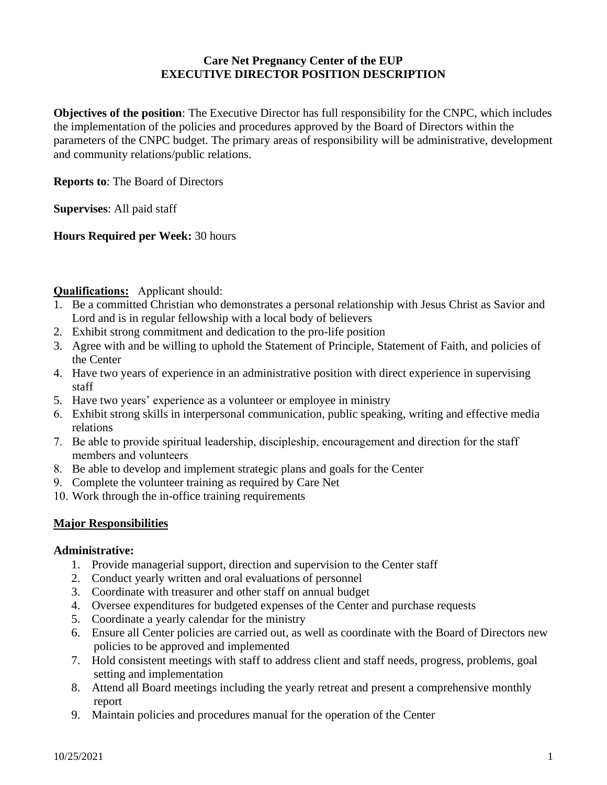# **Care Net Pregnancy Center of the EUP EXECUTIVE DIRECTOR POSITION DESCRIPTION**

**Objectives of the position**: The Executive Director has full responsibility for the CNPC, which includes the implementation of the policies and procedures approved by the Board of Directors within the parameters of the CNPC budget. The primary areas of responsibility will be administrative, development and community relations/public relations.

**Reports to**: The Board of Directors

**Supervises**: All paid staff

**Hours Required per Week:** 30 hours

## **Qualifications:** Applicant should:

- 1. Be a committed Christian who demonstrates a personal relationship with Jesus Christ as Savior and Lord and is in regular fellowship with a local body of believers
- 2. Exhibit strong commitment and dedication to the pro-life position
- 3. Agree with and be willing to uphold the Statement of Principle, Statement of Faith, and policies of the Center
- 4. Have two years of experience in an administrative position with direct experience in supervising staff
- 5. Have two years' experience as a volunteer or employee in ministry
- 6. Exhibit strong skills in interpersonal communication, public speaking, writing and effective media relations
- 7. Be able to provide spiritual leadership, discipleship, encouragement and direction for the staff members and volunteers
- 8. Be able to develop and implement strategic plans and goals for the Center
- 9. Complete the volunteer training as required by Care Net
- 10. Work through the in-office training requirements

## **Major Responsibilities**

#### **Administrative:**

- 1. Provide managerial support, direction and supervision to the Center staff
- 2. Conduct yearly written and oral evaluations of personnel
- 3. Coordinate with treasurer and other staff on annual budget
- 4. Oversee expenditures for budgeted expenses of the Center and purchase requests
- 5. Coordinate a yearly calendar for the ministry
- 6. Ensure all Center policies are carried out, as well as coordinate with the Board of Directors new policies to be approved and implemented
- 7. Hold consistent meetings with staff to address client and staff needs, progress, problems, goal setting and implementation
- 8. Attend all Board meetings including the yearly retreat and present a comprehensive monthly report
- 9. Maintain policies and procedures manual for the operation of the Center